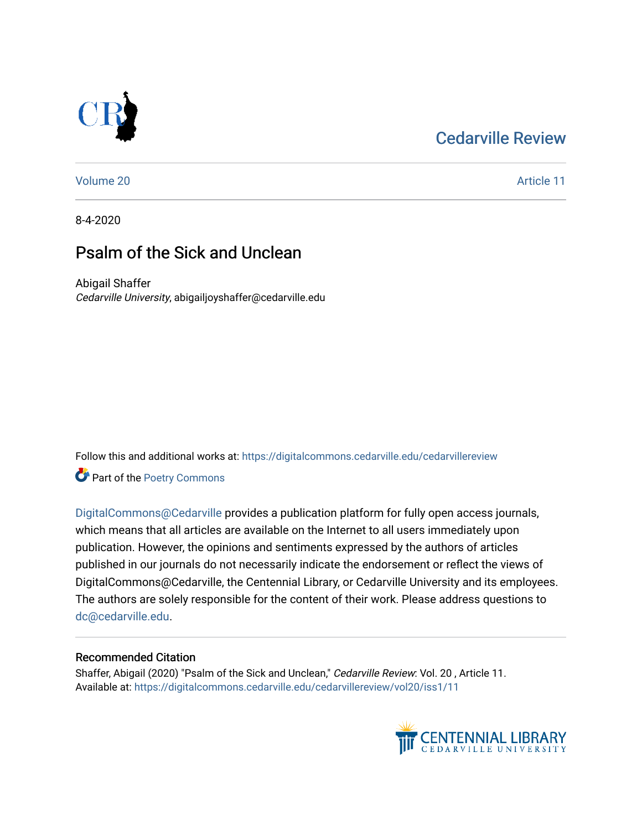### [Cedarville Review](https://digitalcommons.cedarville.edu/cedarvillereview)



[Volume 20](https://digitalcommons.cedarville.edu/cedarvillereview/vol20) Article 11

8-4-2020

## Psalm of the Sick and Unclean

Abigail Shaffer Cedarville University, abigailjoyshaffer@cedarville.edu

Follow this and additional works at: [https://digitalcommons.cedarville.edu/cedarvillereview](https://digitalcommons.cedarville.edu/cedarvillereview?utm_source=digitalcommons.cedarville.edu%2Fcedarvillereview%2Fvol20%2Fiss1%2F11&utm_medium=PDF&utm_campaign=PDFCoverPages) 

Part of the [Poetry Commons](http://network.bepress.com/hgg/discipline/1153?utm_source=digitalcommons.cedarville.edu%2Fcedarvillereview%2Fvol20%2Fiss1%2F11&utm_medium=PDF&utm_campaign=PDFCoverPages) 

[DigitalCommons@Cedarville](http://digitalcommons.cedarville.edu/) provides a publication platform for fully open access journals, which means that all articles are available on the Internet to all users immediately upon publication. However, the opinions and sentiments expressed by the authors of articles published in our journals do not necessarily indicate the endorsement or reflect the views of DigitalCommons@Cedarville, the Centennial Library, or Cedarville University and its employees. The authors are solely responsible for the content of their work. Please address questions to [dc@cedarville.edu.](mailto:dc@cedarville.edu)

### Recommended Citation

Shaffer, Abigail (2020) "Psalm of the Sick and Unclean," Cedarville Review: Vol. 20, Article 11. Available at: [https://digitalcommons.cedarville.edu/cedarvillereview/vol20/iss1/11](https://digitalcommons.cedarville.edu/cedarvillereview/vol20/iss1/11?utm_source=digitalcommons.cedarville.edu%2Fcedarvillereview%2Fvol20%2Fiss1%2F11&utm_medium=PDF&utm_campaign=PDFCoverPages)

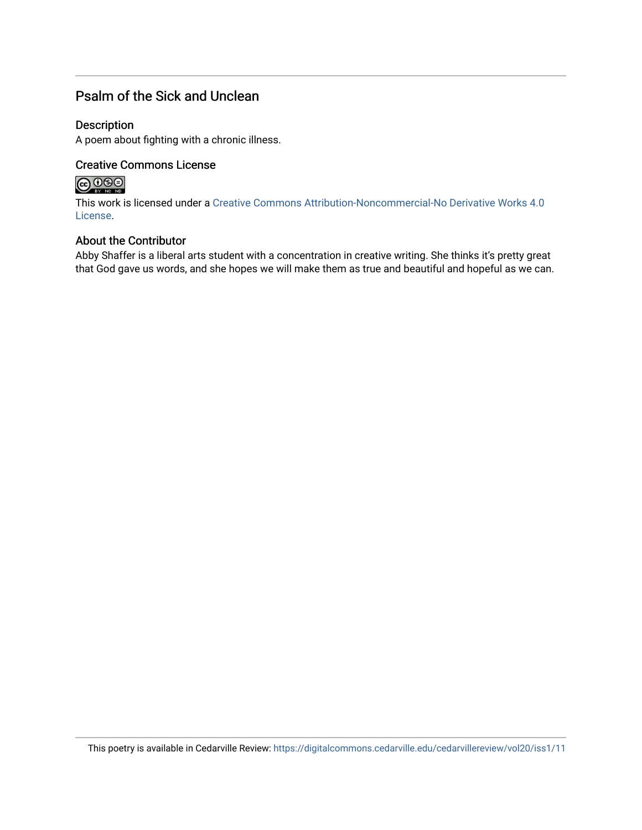### Psalm of the Sick and Unclean

### Description

A poem about fighting with a chronic illness.

### Creative Commons License

### 

This work is licensed under a [Creative Commons Attribution-Noncommercial-No Derivative Works 4.0](http://creativecommons.org/licenses/by-nc-nd/4.0/) [License](http://creativecommons.org/licenses/by-nc-nd/4.0/).

### About the Contributor

Abby Shaffer is a liberal arts student with a concentration in creative writing. She thinks it's pretty great that God gave us words, and she hopes we will make them as true and beautiful and hopeful as we can.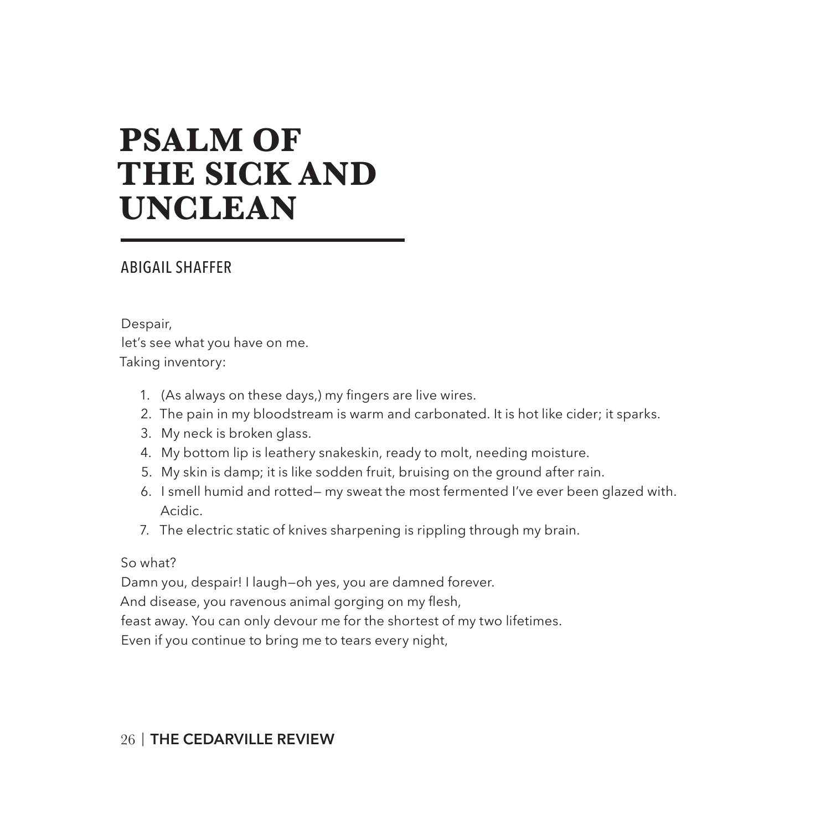# **PSALM OF THE SICK AND UNCLEAN**

### ABIGAIL SHAFFER

Despair, let's see what you have on me. Taking inventory:

- 1. (As always on these days,) my fingers are live wires.
- 2. The pain in my bloodstream is warm and carbonated. It is hot like cider; it sparks.
- 3. My neck is broken glass.
- 4. My bottom lip is leathery snakeskin, ready to molt, needing moisture.
- 5. My skin is damp; it is like sodden fruit, bruising on the ground after rain.
- 6. I smell humid and rotted— my sweat the most fermented I've ever been glazed with. Acidic.
- 7. The electric static of knives sharpening is rippling through my brain.

#### So what?

Damn you, despair! I laugh—oh yes, you are damned forever.

And disease, you ravenous animal gorging on my flesh,

feast away. You can only devour me for the shortest of my two lifetimes.

Even if you continue to bring me to tears every night,

#### 26 | **THE CEDARVILLE REVIEW**